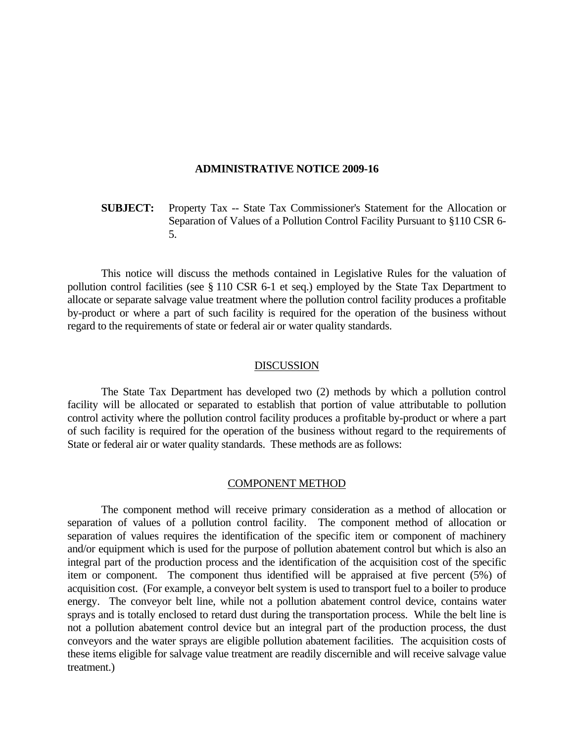#### **ADMINISTRATIVE NOTICE 2009-16**

# **SUBJECT:** Property Tax -- State Tax Commissioner's Statement for the Allocation or Separation of Values of a Pollution Control Facility Pursuant to §110 CSR 6- 5.

 This notice will discuss the methods contained in Legislative Rules for the valuation of pollution control facilities (see § 110 CSR 6-1 et seq.) employed by the State Tax Department to allocate or separate salvage value treatment where the pollution control facility produces a profitable by-product or where a part of such facility is required for the operation of the business without regard to the requirements of state or federal air or water quality standards.

### DISCUSSION

 The State Tax Department has developed two (2) methods by which a pollution control facility will be allocated or separated to establish that portion of value attributable to pollution control activity where the pollution control facility produces a profitable by-product or where a part of such facility is required for the operation of the business without regard to the requirements of State or federal air or water quality standards. These methods are as follows:

#### COMPONENT METHOD

 The component method will receive primary consideration as a method of allocation or separation of values of a pollution control facility. The component method of allocation or separation of values requires the identification of the specific item or component of machinery and/or equipment which is used for the purpose of pollution abatement control but which is also an integral part of the production process and the identification of the acquisition cost of the specific item or component. The component thus identified will be appraised at five percent (5%) of acquisition cost. (For example, a conveyor belt system is used to transport fuel to a boiler to produce energy. The conveyor belt line, while not a pollution abatement control device, contains water sprays and is totally enclosed to retard dust during the transportation process. While the belt line is not a pollution abatement control device but an integral part of the production process, the dust conveyors and the water sprays are eligible pollution abatement facilities. The acquisition costs of these items eligible for salvage value treatment are readily discernible and will receive salvage value treatment.)